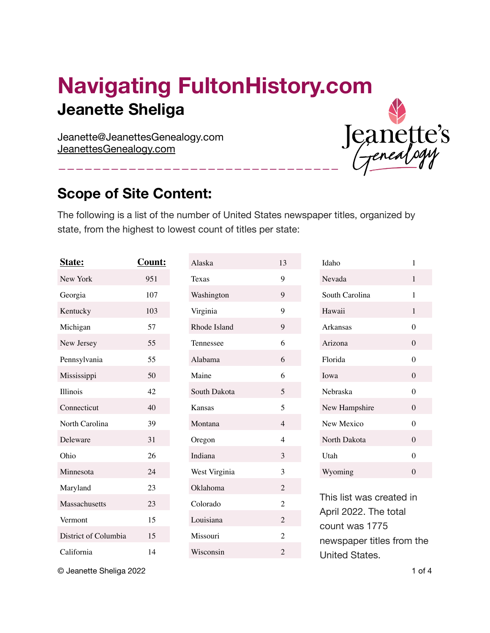# **Navigating FultonHistory.com Jeanette Sheliga**

————————————————————————————————

Jeanette@JeanettesGenealogy.com [JeanettesGenealogy.com](http://JeanettesGenealogy.com)

### **Scope of Site Content:**

The following is a list of the number of United States newspaper titles, organized by state, from the highest to lowest count of titles per state:

| Count: |
|--------|
| 951    |
| 107    |
| 103    |
| 57     |
| 55     |
| 55     |
| 50     |
| 42     |
| 40     |
| 39     |
| 31     |
| 26     |
| 24     |
| 23     |
| 23     |
| 15     |
| 15     |
| 14     |
|        |

| Alaska        | 13             |
|---------------|----------------|
| Texas         | 9              |
| Washington    | 9              |
| Virginia      | 9              |
| Rhode Island  | 9              |
| Tennessee     | 6              |
| Alabama       | 6              |
| Maine         | 6              |
| South Dakota  | 5              |
| Kansas        | 5              |
| Montana       | $\overline{4}$ |
| Oregon        | $\overline{4}$ |
| Indiana       | 3              |
| West Virginia | 3              |
| Oklahoma      | $\overline{2}$ |
| Colorado      | $\overline{2}$ |
| Louisiana     | $\overline{2}$ |
| Missouri      | $\overline{2}$ |
| Wisconsin     | $\overline{2}$ |

| Idaho          | 1              |
|----------------|----------------|
| Nevada         | 1              |
| South Carolina | 1              |
| Hawaii         | 1              |
| Arkansas       | 0              |
| Arizona        | $\theta$       |
| Florida        | 0              |
|                |                |
| Iowa           | $\theta$       |
| Nebraska       | $\Omega$       |
| New Hampshire  | $\Omega$       |
| New Mexico     | $\overline{0}$ |
| North Dakota   | $\overline{0}$ |
| Utah           | $\Omega$       |
| Wyoming        | $\overline{0}$ |

Jeanette's

This list was created in April 2022. The total count was 1775 newspaper titles from the United States.

© Jeanette Sheliga 2022 1 of 4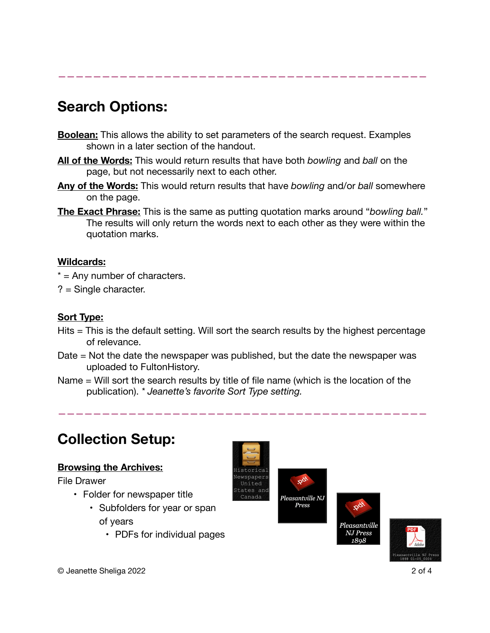# **Search Options:**

**Boolean:** This allows the ability to set parameters of the search request. Examples shown in a later section of the handout.

——————————————————————————————————————————

- **All of the Words:** This would return results that have both *bowling* and *ball* on the page, but not necessarily next to each other.
- **Any of the Words:** This would return results that have *bowling* and/or *ball* somewhere on the page.
- **The Exact Phrase:** This is the same as putting quotation marks around "*bowling ball.*" The results will only return the words next to each other as they were within the quotation marks.

#### **Wildcards:**

- $* =$  Any number of characters.
- ? = Single character.

#### **Sort Type:**

- Hits = This is the default setting. Will sort the search results by the highest percentage of relevance.
- Date = Not the date the newspaper was published, but the date the newspaper was uploaded to FultonHistory.
- Name = Will sort the search results by title of file name (which is the location of the publication). *\* Jeanette's favorite Sort Type setting.*

——————————————————————————————————————————

### **Collection Setup:**

### **Browsing the Archives:**

File Drawer

- Folder for newspaper title
	- Subfolders for year or span of years
		- PDFs for individual pages





leasantville NJ Press 1898



© Jeanette Sheliga 2022 2 of 4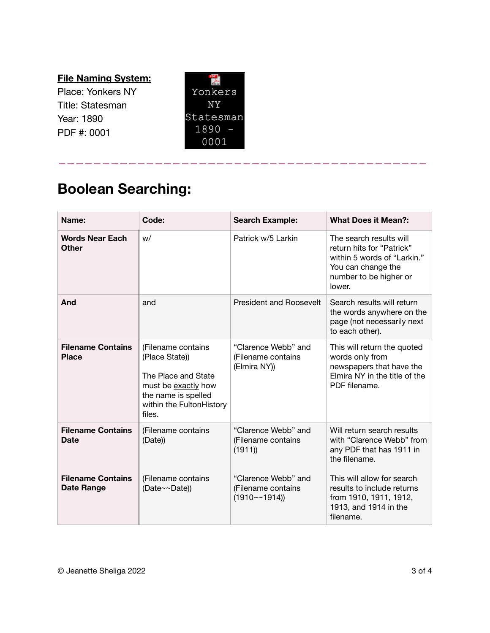### **File Naming System:**

Place: Yonkers NY Title: Statesman Year: 1890 PDF #: 0001



——————————————————————————————————————————

# **Boolean Searching:**

| Name:                                         | Code:                                                                                                                                           | <b>Search Example:</b>                                          | <b>What Does it Mean?:</b>                                                                                                                    |
|-----------------------------------------------|-------------------------------------------------------------------------------------------------------------------------------------------------|-----------------------------------------------------------------|-----------------------------------------------------------------------------------------------------------------------------------------------|
| <b>Words Near Each</b><br>Other               | W/                                                                                                                                              | Patrick w/5 Larkin                                              | The search results will<br>return hits for "Patrick"<br>within 5 words of "Larkin."<br>You can change the<br>number to be higher or<br>lower. |
| And                                           | and                                                                                                                                             | <b>President and Roosevelt</b>                                  | Search results will return<br>the words anywhere on the<br>page (not necessarily next<br>to each other).                                      |
| <b>Filename Contains</b><br><b>Place</b>      | (Filename contains<br>(Place State))<br>The Place and State<br>must be exactly how<br>the name is spelled<br>within the FultonHistory<br>files. | "Clarence Webb" and<br>(Filename contains<br>(Elmira NY))       | This will return the quoted<br>words only from<br>newspapers that have the<br>Elmira NY in the title of the<br>PDF filename.                  |
| <b>Filename Contains</b><br><b>Date</b>       | (Filename contains<br>(Date))                                                                                                                   | "Clarence Webb" and<br>(Filename contains<br>(1911)             | Will return search results<br>with "Clarence Webb" from<br>any PDF that has 1911 in<br>the filename.                                          |
| <b>Filename Contains</b><br><b>Date Range</b> | (Filename contains<br>(Date~~Date))                                                                                                             | "Clarence Webb" and<br>(Filename contains<br>$(1910 \sim 1914)$ | This will allow for search<br>results to include returns<br>from 1910, 1911, 1912,<br>1913, and 1914 in the<br>filename.                      |